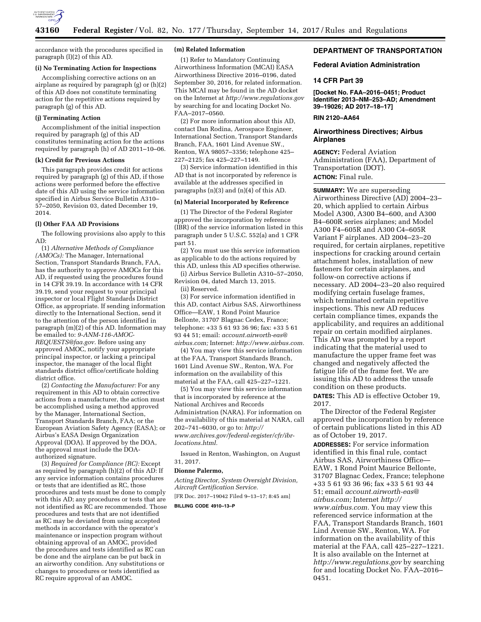

accordance with the procedures specified in paragraph (l)(2) of this AD.

### **(i) No Terminating Action for Inspections**

Accomplishing corrective actions on an airplane as required by paragraph (g) or (h)(2) of this AD does not constitute terminating action for the repetitive actions required by paragraph (g) of this AD.

### **(j) Terminating Action**

Accomplishment of the initial inspection required by paragraph (g) of this AD constitutes terminating action for the actions required by paragraph (h) of AD 2011–10–06.

### **(k) Credit for Previous Actions**

This paragraph provides credit for actions required by paragraph (g) of this AD, if those actions were performed before the effective date of this AD using the service information specified in Airbus Service Bulletin A310– 57–2050, Revision 03, dated December 19, 2014.

## **(l) Other FAA AD Provisions**

The following provisions also apply to this AD:

(1) *Alternative Methods of Compliance (AMOCs):* The Manager, International Section, Transport Standards Branch, FAA, has the authority to approve AMOCs for this AD, if requested using the procedures found in 14 CFR 39.19. In accordance with 14 CFR 39.19, send your request to your principal inspector or local Flight Standards District Office, as appropriate. If sending information directly to the International Section, send it to the attention of the person identified in paragraph (m)(2) of this AD. Information may be emailed to: *[9-ANM-116-AMOC-](mailto:9-ANM-116-AMOC-REQUESTS@faa.gov)[REQUESTS@faa.gov.](mailto:9-ANM-116-AMOC-REQUESTS@faa.gov)* Before using any approved AMOC, notify your appropriate principal inspector, or lacking a principal inspector, the manager of the local flight standards district office/certificate holding district office.

(2) *Contacting the Manufacturer:* For any requirement in this AD to obtain corrective actions from a manufacturer, the action must be accomplished using a method approved by the Manager, International Section, Transport Standards Branch, FAA; or the European Aviation Safety Agency (EASA); or Airbus's EASA Design Organization Approval (DOA). If approved by the DOA, the approval must include the DOAauthorized signature.

(3) *Required for Compliance (RC):* Except as required by paragraph (h)(2) of this AD: If any service information contains procedures or tests that are identified as RC, those procedures and tests must be done to comply with this AD; any procedures or tests that are not identified as RC are recommended. Those procedures and tests that are not identified as RC may be deviated from using accepted methods in accordance with the operator's maintenance or inspection program without obtaining approval of an AMOC, provided the procedures and tests identified as RC can be done and the airplane can be put back in an airworthy condition. Any substitutions or changes to procedures or tests identified as RC require approval of an AMOC.

### **(m) Related Information**

(1) Refer to Mandatory Continuing Airworthiness Information (MCAI) EASA Airworthiness Directive 2016–0196, dated September 30, 2016, for related information. This MCAI may be found in the AD docket on the Internet at *<http://www.regulations.gov>*  by searching for and locating Docket No. FAA–2017–0560.

(2) For more information about this AD, contact Dan Rodina, Aerospace Engineer, International Section, Transport Standards Branch, FAA, 1601 Lind Avenue SW., Renton, WA 98057–3356; telephone 425– 227–2125; fax 425–227–1149.

(3) Service information identified in this AD that is not incorporated by reference is available at the addresses specified in paragraphs (n)(3) and (n)(4) of this AD.

# **(n) Material Incorporated by Reference**

(1) The Director of the Federal Register approved the incorporation by reference (IBR) of the service information listed in this paragraph under 5 U.S.C. 552(a) and 1 CFR part 51.

(2) You must use this service information as applicable to do the actions required by this AD, unless this AD specifies otherwise.

(i) Airbus Service Bulletin A310–57–2050, Revision 04, dated March 13, 2015.

(ii) Reserved.

(3) For service information identified in this AD, contact Airbus SAS, Airworthiness Office—EAW, 1 Rond Point Maurice Bellonte, 31707 Blagnac Cedex, France; telephone: +33 5 61 93 36 96; fax: +33 5 61 93 44 51; email: *[account.airworth-eas@](mailto:account.airworth-eas@airbus.com) [airbus.com;](mailto:account.airworth-eas@airbus.com)* Internet: *[http://www.airbus.com.](http://www.airbus.com)* 

(4) You may view this service information at the FAA, Transport Standards Branch, 1601 Lind Avenue SW., Renton, WA. For information on the availability of this material at the FAA, call 425–227–1221.

(5) You may view this service information that is incorporated by reference at the National Archives and Records Administration (NARA). For information on the availability of this material at NARA, call 202–741–6030, or go to: *[http://](http://www.archives.gov/federal-register/cfr/ibr-locations.html) [www.archives.gov/federal-register/cfr/ibr](http://www.archives.gov/federal-register/cfr/ibr-locations.html)[locations.html.](http://www.archives.gov/federal-register/cfr/ibr-locations.html)* 

Issued in Renton, Washington, on August 31, 2017.

### **Dionne Palermo,**

*Acting Director, System Oversight Division, Aircraft Certification Service.* 

[FR Doc. 2017–19042 Filed 9–13–17; 8:45 am]

## **BILLING CODE 4910–13–P**

### **DEPARTMENT OF TRANSPORTATION**

### **Federal Aviation Administration**

### **14 CFR Part 39**

**[Docket No. FAA–2016–0451; Product Identifier 2013–NM–253–AD; Amendment 39–19026; AD 2017–18–17]** 

## **RIN 2120–AA64**

## **Airworthiness Directives; Airbus Airplanes**

**AGENCY:** Federal Aviation Administration (FAA), Department of Transportation (DOT). **ACTION:** Final rule.

**SUMMARY:** We are superseding Airworthiness Directive (AD) 2004–23– 20, which applied to certain Airbus Model A300, A300 B4–600, and A300 B4–600R series airplanes; and Model A300 F4–605R and A300 C4–605R Variant F airplanes. AD 2004–23–20 required, for certain airplanes, repetitive inspections for cracking around certain attachment holes, installation of new fasteners for certain airplanes, and follow-on corrective actions if necessary. AD 2004–23–20 also required modifying certain fuselage frames, which terminated certain repetitive inspections. This new AD reduces certain compliance times, expands the applicability, and requires an additional repair on certain modified airplanes. This AD was prompted by a report indicating that the material used to manufacture the upper frame feet was changed and negatively affected the fatigue life of the frame feet. We are issuing this AD to address the unsafe condition on these products. **DATES:** This AD is effective October 19, 2017.

The Director of the Federal Register approved the incorporation by reference of certain publications listed in this AD as of October 19, 2017.

**ADDRESSES:** For service information identified in this final rule, contact Airbus SAS, Airworthiness Office— EAW, 1 Rond Point Maurice Bellonte, 31707 Blagnac Cedex, France; telephone +33 5 61 93 36 96; fax +33 5 61 93 44 51; email *[account.airworth-eas@](mailto:account.airworth-eas@airbus.com) [airbus.com;](mailto:account.airworth-eas@airbus.com)* Internet *[http://](http://www.airbus.com) [www.airbus.com.](http://www.airbus.com)* You may view this referenced service information at the FAA, Transport Standards Branch, 1601 Lind Avenue SW., Renton, WA. For information on the availability of this material at the FAA, call 425–227–1221. It is also available on the Internet at *<http://www.regulations.gov>* by searching for and locating Docket No. FAA–2016– 0451.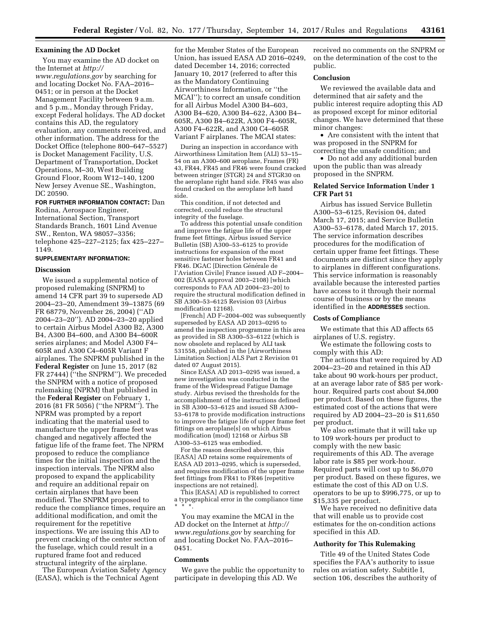### **Examining the AD Docket**

You may examine the AD docket on the Internet at *[http://](http://www.regulations.gov)*

*[www.regulations.gov](http://www.regulations.gov)* by searching for and locating Docket No. FAA–2016– 0451; or in person at the Docket Management Facility between 9 a.m. and 5 p.m., Monday through Friday, except Federal holidays. The AD docket contains this AD, the regulatory evaluation, any comments received, and other information. The address for the Docket Office (telephone 800–647–5527) is Docket Management Facility, U.S. Department of Transportation, Docket Operations, M–30, West Building Ground Floor, Room W12–140, 1200 New Jersey Avenue SE., Washington, DC 20590.

**FOR FURTHER INFORMATION CONTACT:** Dan Rodina, Aerospace Engineer, International Section, Transport Standards Branch, 1601 Lind Avenue SW., Renton, WA 98057–3356; telephone 425–227–2125; fax 425–227– 1149.

# **SUPPLEMENTARY INFORMATION:**

### **Discussion**

We issued a supplemental notice of proposed rulemaking (SNPRM) to amend 14 CFR part 39 to supersede AD 2004–23–20, Amendment 39–13875 (69 FR 68779, November 26, 2004) (''AD 2004–23–20''). AD 2004–23–20 applied to certain Airbus Model A300 B2, A300 B4, A300 B4–600, and A300 B4–600R series airplanes; and Model A300 F4– 605R and A300 C4–605R Variant F airplanes. The SNPRM published in the **Federal Register** on June 15, 2017 (82 FR 27444) (''the SNPRM''). We preceded the SNPRM with a notice of proposed rulemaking (NPRM) that published in the **Federal Register** on February 1, 2016 (81 FR 5056) (''the NPRM''). The NPRM was prompted by a report indicating that the material used to manufacture the upper frame feet was changed and negatively affected the fatigue life of the frame feet. The NPRM proposed to reduce the compliance times for the initial inspection and the inspection intervals. The NPRM also proposed to expand the applicability and require an additional repair on certain airplanes that have been modified. The SNPRM proposed to reduce the compliance times, require an additional modification, and omit the requirement for the repetitive inspections. We are issuing this AD to prevent cracking of the center section of the fuselage, which could result in a ruptured frame foot and reduced structural integrity of the airplane.

The European Aviation Safety Agency (EASA), which is the Technical Agent

for the Member States of the European Union, has issued EASA AD 2016–0249, dated December 14, 2016; corrected January 10, 2017 (referred to after this as the Mandatory Continuing Airworthiness Information, or ''the MCAI''); to correct an unsafe condition for all Airbus Model A300 B4–603, A300 B4–620, A300 B4–622, A300 B4– 605R, A300 B4–622R, A300 F4–605R, A300 F4–622R, and A300 C4–605R Variant F airplanes. The MCAI states:

During an inspection in accordance with Airworthiness Limitation Item (ALI) 53–15– 54 on an A300–600 aeroplane, Frames (FR) 43, FR44, FR45 and FR46 were found cracked between stringer (STGR) 24 and STGR30 on the aeroplane right hand side. FR45 was also found cracked on the aeroplane left hand side.

This condition, if not detected and corrected, could reduce the structural integrity of the fuselage.

To address this potential unsafe condition and improve the fatigue life of the upper frame feet fittings, Airbus issued Service Bulletin (SB) A300–53–6125 to provide instructions for expansion of the most sensitive fastener holes between FR41 and FR46. DGAC [Direction Générale de l'Aviation Civile] France issued AD F–2004– 002 (EASA approval 2003–2108) [which corresponds to FAA AD 2004–23–20] to require the structural modification defined in SB A300–53–6125 Revision 03 (Airbus modification 12168).

[French] AD F–2004–002 was subsequently superseded by EASA AD 2013–0295 to amend the inspection programme in this area as provided in SB A300–53–6122 (which is now obsolete and replaced by ALI task 531558, published in the [Airworthiness Limitation Section] ALS Part 2 Revision 01 dated 07 August 2015).

Since EASA AD 2013–0295 was issued, a new investigation was conducted in the frame of the Widespread Fatigue Damage study. Airbus revised the thresholds for the accomplishment of the instructions defined in SB A300–53–6125 and issued SB A300– 53–6178 to provide modification instructions to improve the fatigue life of upper frame feet fittings on aeroplane[s] on which Airbus modification (mod) 12168 or Airbus SB A300–53–6125 was embodied.

For the reason described above, this [EASA] AD retains some requirements of EASA AD 2013–0295, which is superseded, and requires modification of the upper frame feet fittings from FR41 to FR46 [repetitive inspections are not retained].

This [EASA] AD is republished to correct a typographical error in the compliance time \* \* \*.

You may examine the MCAI in the AD docket on the Internet at *[http://](http://www.regulations.gov) [www.regulations.gov](http://www.regulations.gov)* by searching for and locating Docket No. FAA–2016– 0451.

### **Comments**

We gave the public the opportunity to participate in developing this AD. We

received no comments on the SNPRM or on the determination of the cost to the public.

### **Conclusion**

We reviewed the available data and determined that air safety and the public interest require adopting this AD as proposed except for minor editorial changes. We have determined that these minor changes:

• Are consistent with the intent that was proposed in the SNPRM for correcting the unsafe condition; and

• Do not add any additional burden upon the public than was already proposed in the SNPRM.

## **Related Service Information Under 1 CFR Part 51**

Airbus has issued Service Bulletin A300–53–6125, Revision 04, dated March 17, 2015; and Service Bulletin A300–53–6178, dated March 17, 2015. The service information describes procedures for the modification of certain upper frame feet fittings. These documents are distinct since they apply to airplanes in different configurations. This service information is reasonably available because the interested parties have access to it through their normal course of business or by the means identified in the **ADDRESSES** section.

## **Costs of Compliance**

We estimate that this AD affects 65 airplanes of U.S. registry.

We estimate the following costs to comply with this AD:

The actions that were required by AD 2004–23–20 and retained in this AD take about 90 work-hours per product, at an average labor rate of \$85 per workhour. Required parts cost about \$4,000 per product. Based on these figures, the estimated cost of the actions that were required by AD 2004–23–20 is \$11,650 per product.

We also estimate that it will take up to 109 work-hours per product to comply with the new basic requirements of this AD. The average labor rate is \$85 per work-hour. Required parts will cost up to \$6,070 per product. Based on these figures, we estimate the cost of this AD on U.S. operators to be up to \$996,775, or up to \$15,335 per product.

We have received no definitive data that will enable us to provide cost estimates for the on-condition actions specified in this AD.

### **Authority for This Rulemaking**

Title 49 of the United States Code specifies the FAA's authority to issue rules on aviation safety. Subtitle I, section 106, describes the authority of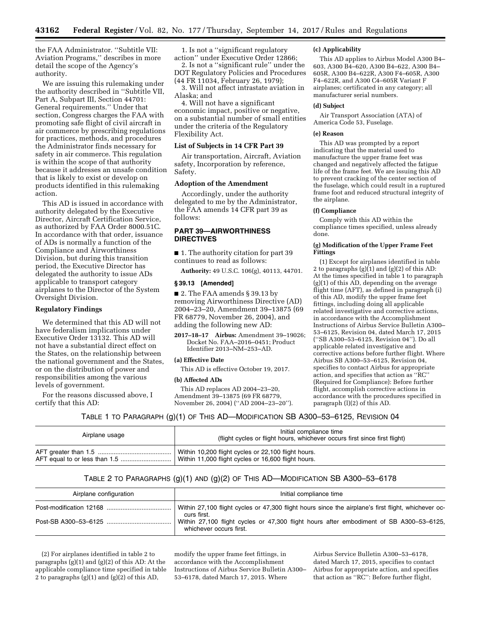the FAA Administrator. ''Subtitle VII: Aviation Programs,'' describes in more detail the scope of the Agency's authority.

We are issuing this rulemaking under the authority described in ''Subtitle VII, Part A, Subpart III, Section 44701: General requirements.'' Under that section, Congress charges the FAA with promoting safe flight of civil aircraft in air commerce by prescribing regulations for practices, methods, and procedures the Administrator finds necessary for safety in air commerce. This regulation is within the scope of that authority because it addresses an unsafe condition that is likely to exist or develop on products identified in this rulemaking action.

This AD is issued in accordance with authority delegated by the Executive Director, Aircraft Certification Service, as authorized by FAA Order 8000.51C. In accordance with that order, issuance of ADs is normally a function of the Compliance and Airworthiness Division, but during this transition period, the Executive Director has delegated the authority to issue ADs applicable to transport category airplanes to the Director of the System Oversight Division.

## **Regulatory Findings**

We determined that this AD will not have federalism implications under Executive Order 13132. This AD will not have a substantial direct effect on the States, on the relationship between the national government and the States, or on the distribution of power and responsibilities among the various levels of government.

For the reasons discussed above, I certify that this AD:

1. Is not a ''significant regulatory action'' under Executive Order 12866;

2. Is not a ''significant rule'' under the DOT Regulatory Policies and Procedures (44 FR 11034, February 26, 1979);

3. Will not affect intrastate aviation in Alaska; and

4. Will not have a significant economic impact, positive or negative, on a substantial number of small entities under the criteria of the Regulatory Flexibility Act.

### **List of Subjects in 14 CFR Part 39**

Air transportation, Aircraft, Aviation safety, Incorporation by reference, Safety.

## **Adoption of the Amendment**

Accordingly, under the authority delegated to me by the Administrator, the FAA amends 14 CFR part 39 as follows:

# **PART 39—AIRWORTHINESS DIRECTIVES**

■ 1. The authority citation for part 39 continues to read as follows:

**Authority:** 49 U.S.C. 106(g), 40113, 44701.

## **§ 39.13 [Amended]**

■ 2. The FAA amends § 39.13 by removing Airworthiness Directive (AD) 2004–23–20, Amendment 39–13875 (69 FR 68779, November 26, 2004), and adding the following new AD:

**2017–18–17 Airbus:** Amendment 39–19026; Docket No. FAA–2016–0451; Product Identifier 2013–NM–253–AD.

#### **(a) Effective Date**

This AD is effective October 19, 2017.

## **(b) Affected ADs**

This AD replaces AD 2004–23–20, Amendment 39–13875 (69 FR 68779, November 26, 2004) (''AD 2004–23–20'').

### **(c) Applicability**

This AD applies to Airbus Model A300 B4– 603, A300 B4–620, A300 B4–622, A300 B4– 605R, A300 B4–622R, A300 F4–605R, A300 F4–622R, and A300 C4–605R Variant F airplanes; certificated in any category; all manufacturer serial numbers.

## **(d) Subject**

Air Transport Association (ATA) of America Code 53, Fuselage.

### **(e) Reason**

This AD was prompted by a report indicating that the material used to manufacture the upper frame feet was changed and negatively affected the fatigue life of the frame feet. We are issuing this AD to prevent cracking of the center section of the fuselage, which could result in a ruptured frame foot and reduced structural integrity of the airplane.

### **(f) Compliance**

Comply with this AD within the compliance times specified, unless already done.

### **(g) Modification of the Upper Frame Feet Fittings**

(1) Except for airplanes identified in table 2 to paragraphs (g)(1) and (g)(2) of this AD: At the times specified in table 1 to paragraph (g)(1) of this AD, depending on the average flight time (AFT), as defined in paragraph (i) of this AD, modify the upper frame feet fittings, including doing all applicable related investigative and corrective actions, in accordance with the Accomplishment Instructions of Airbus Service Bulletin A300– 53–6125, Revision 04, dated March 17, 2015 (''SB A300–53–6125, Revision 04''). Do all applicable related investigative and corrective actions before further flight. Where Airbus SB A300–53–6125, Revision 04, specifies to contact Airbus for appropriate action, and specifies that action as ''RC'' (Required for Compliance): Before further flight, accomplish corrective actions in accordance with the procedures specified in paragraph (l)(2) of this AD.

### TABLE 1 TO PARAGRAPH (g)(1) OF THIS AD—MODIFICATION SB A300–53–6125, REVISION 04

| Airplane usage | Initial compliance time<br>(flight cycles or flight hours, whichever occurs first since first flight) |
|----------------|-------------------------------------------------------------------------------------------------------|
|                | Within 10,200 flight cycles or 22,100 flight hours.                                                   |
|                | Within 11,000 flight cycles or 16,600 flight hours.                                                   |

# TABLE 2 TO PARAGRAPHS (g)(1) AND (g)(2) OF THIS AD—MODIFICATION SB A300–53–6178

| Airplane configuration | Initial compliance time                                                                                            |
|------------------------|--------------------------------------------------------------------------------------------------------------------|
|                        | Within 27,100 flight cycles or 47,300 flight hours since the airplane's first flight, whichever oc-<br>curs first. |
|                        | Within 27,100 flight cycles or 47,300 flight hours after embodiment of SB A300-53-6125,<br>whichever occurs first. |

(2) For airplanes identified in table 2 to paragraphs (g)(1) and (g)(2) of this AD: At the applicable compliance time specified in table 2 to paragraphs (g)(1) and (g)(2) of this AD,

modify the upper frame feet fittings, in accordance with the Accomplishment Instructions of Airbus Service Bulletin A300– 53–6178, dated March 17, 2015. Where

Airbus Service Bulletin A300–53–6178, dated March 17, 2015, specifies to contact Airbus for appropriate action, and specifies that action as ''RC'': Before further flight,